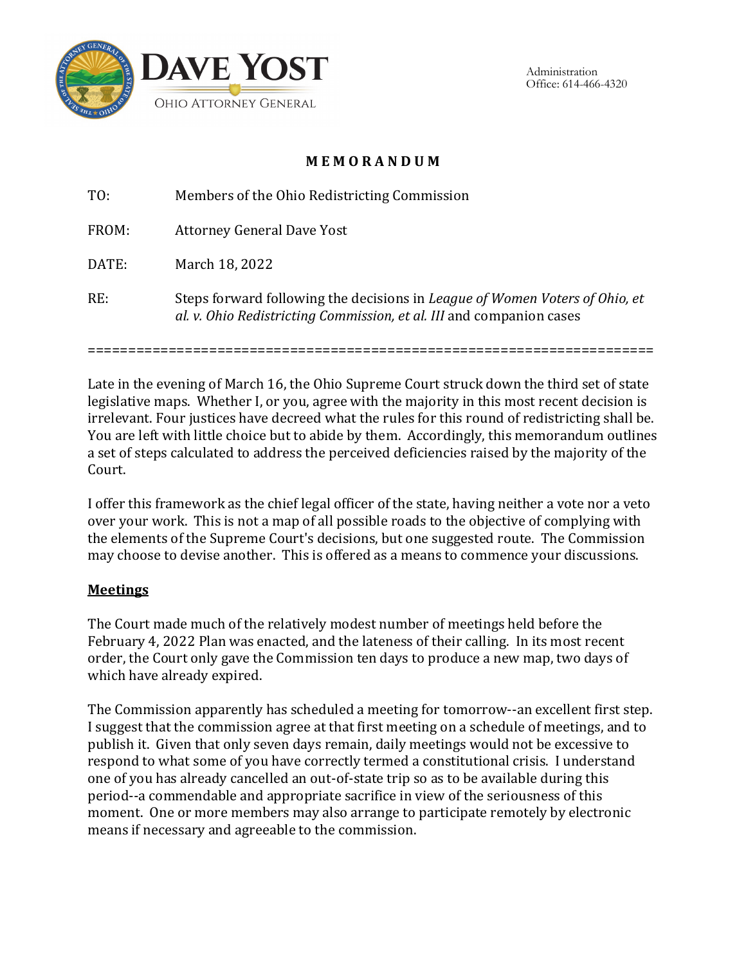

Administration Office: 614-466-4320

# **M E M O R A N D U M**

TO: Members of the Ohio Redistricting Commission FROM: Attorney General Dave Yost DATE: March 18, 2022 RE: Steps forward following the decisions in *League of Women Voters of Ohio, et al. v. Ohio Redistricting Commission, et al. III* and companion cases

======================================================================

Late in the evening of March 16, the Ohio Supreme Court struck down the third set of state legislative maps. Whether I, or you, agree with the majority in this most recent decision is irrelevant. Four justices have decreed what the rules for this round of redistricting shall be. You are left with little choice but to abide by them. Accordingly, this memorandum outlines a set of steps calculated to address the perceived deficiencies raised by the majority of the Court.

I offer this framework as the chief legal officer of the state, having neither a vote nor a veto over your work. This is not a map of all possible roads to the objective of complying with the elements of the Supreme Court's decisions, but one suggested route. The Commission may choose to devise another. This is offered as a means to commence your discussions.

### **Meetings**

The Court made much of the relatively modest number of meetings held before the February 4, 2022 Plan was enacted, and the lateness of their calling. In its most recent order, the Court only gave the Commission ten days to produce a new map, two days of which have already expired.

The Commission apparently has scheduled a meeting for tomorrow--an excellent first step. I suggest that the commission agree at that first meeting on a schedule of meetings, and to publish it. Given that only seven days remain, daily meetings would not be excessive to respond to what some of you have correctly termed a constitutional crisis. I understand one of you has already cancelled an out-of-state trip so as to be available during this period--a commendable and appropriate sacrifice in view of the seriousness of this moment. One or more members may also arrange to participate remotely by electronic means if necessary and agreeable to the commission.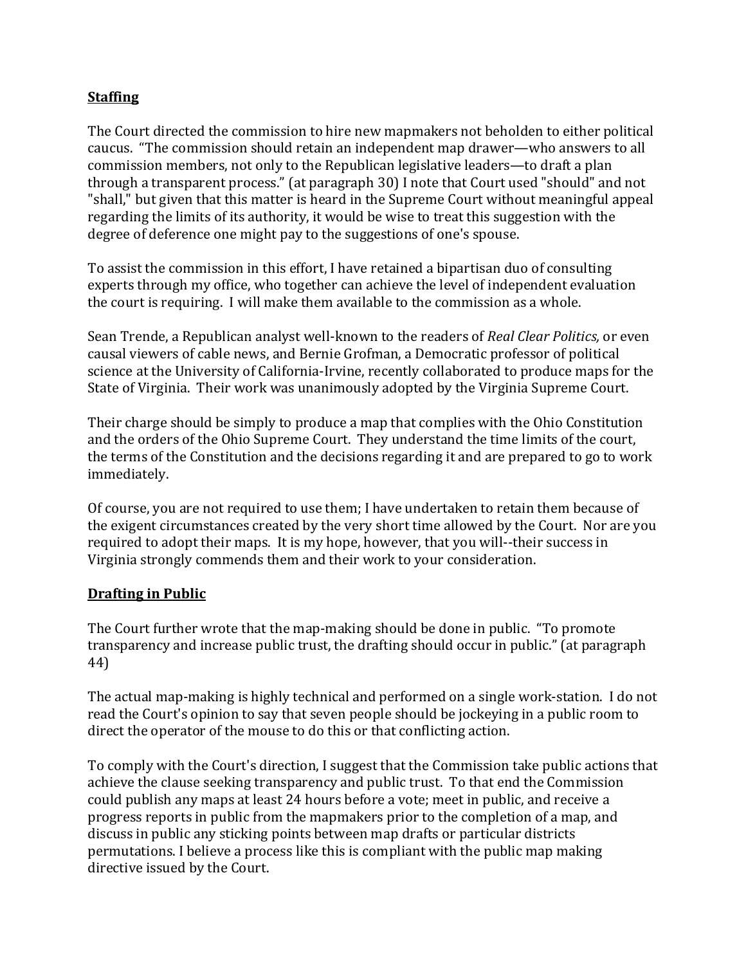### **Staffing**

The Court directed the commission to hire new mapmakers not beholden to either political caucus. "The commission should retain an independent map drawer—who answers to all commission members, not only to the Republican legislative leaders—to draft a plan through a transparent process." (at paragraph 30) I note that Court used "should" and not "shall," but given that this matter is heard in the Supreme Court without meaningful appeal regarding the limits of its authority, it would be wise to treat this suggestion with the degree of deference one might pay to the suggestions of one's spouse.

To assist the commission in this effort, I have retained a bipartisan duo of consulting experts through my office, who together can achieve the level of independent evaluation the court is requiring. I will make them available to the commission as a whole.

Sean Trende, a Republican analyst well-known to the readers of *Real Clear Politics,* or even causal viewers of cable news, and Bernie Grofman, a Democratic professor of political science at the University of California-Irvine, recently collaborated to produce maps for the State of Virginia. Their work was unanimously adopted by the Virginia Supreme Court.

Their charge should be simply to produce a map that complies with the Ohio Constitution and the orders of the Ohio Supreme Court. They understand the time limits of the court, the terms of the Constitution and the decisions regarding it and are prepared to go to work immediately.

Of course, you are not required to use them; I have undertaken to retain them because of the exigent circumstances created by the very short time allowed by the Court. Nor are you required to adopt their maps. It is my hope, however, that you will--their success in Virginia strongly commends them and their work to your consideration.

### **Drafting in Public**

The Court further wrote that the map-making should be done in public. "To promote transparency and increase public trust, the drafting should occur in public." (at paragraph 44)

The actual map-making is highly technical and performed on a single work-station. I do not read the Court's opinion to say that seven people should be jockeying in a public room to direct the operator of the mouse to do this or that conflicting action.

To comply with the Court's direction, I suggest that the Commission take public actions that achieve the clause seeking transparency and public trust. To that end the Commission could publish any maps at least 24 hours before a vote; meet in public, and receive a progress reports in public from the mapmakers prior to the completion of a map, and discuss in public any sticking points between map drafts or particular districts permutations. I believe a process like this is compliant with the public map making directive issued by the Court.